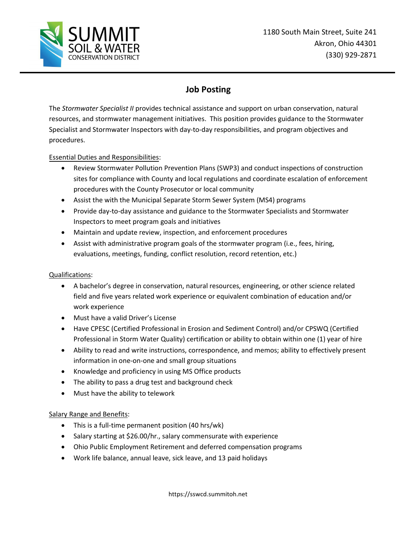

## **Job Posting**

The *Stormwater Specialist II* provides technical assistance and support on urban conservation, natural resources, and stormwater management initiatives. This position provides guidance to the Stormwater Specialist and Stormwater Inspectors with day-to-day responsibilities, and program objectives and procedures.

## Essential Duties and Responsibilities:

- Review Stormwater Pollution Prevention Plans (SWP3) and conduct inspections of construction sites for compliance with County and local regulations and coordinate escalation of enforcement procedures with the County Prosecutor or local community
- Assist the with the Municipal Separate Storm Sewer System (MS4) programs
- Provide day-to-day assistance and guidance to the Stormwater Specialists and Stormwater Inspectors to meet program goals and initiatives
- Maintain and update review, inspection, and enforcement procedures
- Assist with administrative program goals of the stormwater program (i.e., fees, hiring, evaluations, meetings, funding, conflict resolution, record retention, etc.)

## Qualifications:

- A bachelor's degree in conservation, natural resources, engineering, or other science related field and five years related work experience or equivalent combination of education and/or work experience
- Must have a valid Driver's License
- Have CPESC (Certified Professional in Erosion and Sediment Control) and/or CPSWQ (Certified Professional in Storm Water Quality) certification or ability to obtain within one (1) year of hire
- Ability to read and write instructions, correspondence, and memos; ability to effectively present information in one-on-one and small group situations
- Knowledge and proficiency in using MS Office products
- The ability to pass a drug test and background check
- Must have the ability to telework

## Salary Range and Benefits:

- This is a full-time permanent position (40 hrs/wk)
- Salary starting at \$26.00/hr., salary commensurate with experience
- Ohio Public Employment Retirement and deferred compensation programs
- Work life balance, annual leave, sick leave, and 13 paid holidays